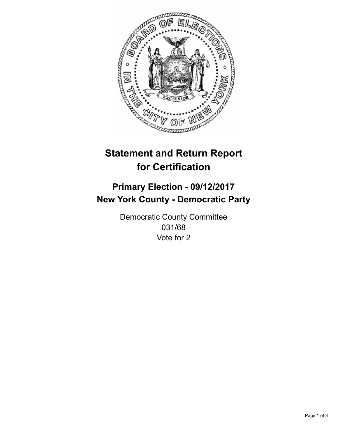

## **Statement and Return Report for Certification**

## **Primary Election - 09/12/2017 New York County - Democratic Party**

Democratic County Committee 031/68 Vote for 2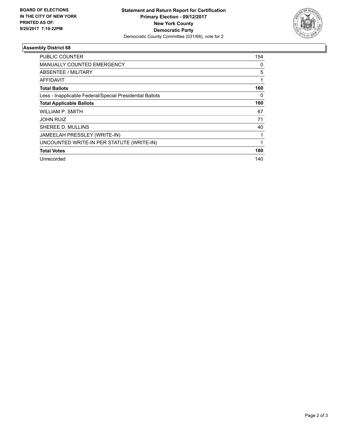

## **Assembly District 68**

| <b>PUBLIC COUNTER</b>                                    | 154 |
|----------------------------------------------------------|-----|
| <b>MANUALLY COUNTED EMERGENCY</b>                        | 0   |
| ABSENTEE / MILITARY                                      | 5   |
| AFFIDAVIT                                                |     |
| <b>Total Ballots</b>                                     | 160 |
| Less - Inapplicable Federal/Special Presidential Ballots | 0   |
| <b>Total Applicable Ballots</b>                          | 160 |
| WILLIAM P. SMITH                                         | 67  |
| <b>JOHN RUIZ</b>                                         | 71  |
| SHEREE D. MULLINS                                        | 40  |
| JAMEELAH PRESSLEY (WRITE-IN)                             |     |
| UNCOUNTED WRITE-IN PER STATUTE (WRITE-IN)                |     |
| <b>Total Votes</b>                                       | 180 |
| Unrecorded                                               | 140 |